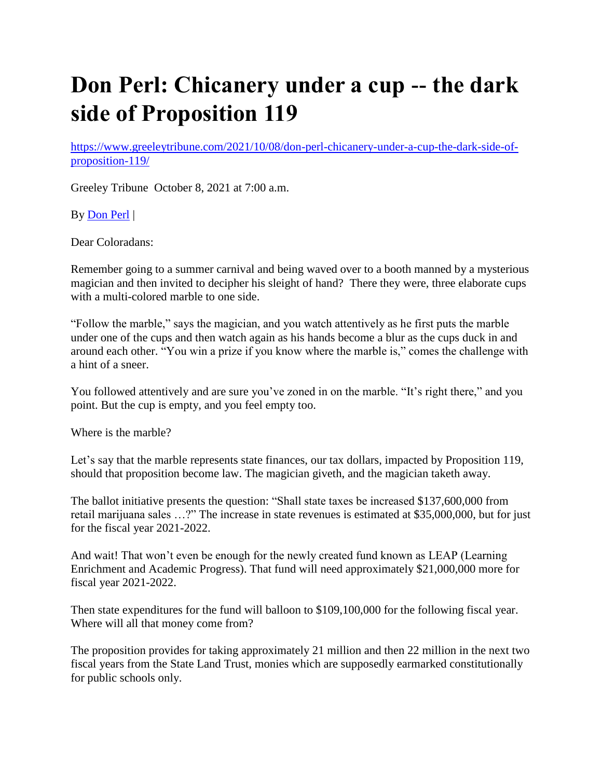## **Don Perl: Chicanery under a cup -- the dark side of Proposition 119**

[https://www.greeleytribune.com/2021/10/08/don-perl-chicanery-under-a-cup-the-dark-side-of](https://www.greeleytribune.com/2021/10/08/don-perl-chicanery-under-a-cup-the-dark-side-of-proposition-119/)[proposition-119/](https://www.greeleytribune.com/2021/10/08/don-perl-chicanery-under-a-cup-the-dark-side-of-proposition-119/)

Greeley Tribune October 8, 2021 at 7:00 a.m.

By [Don](https://www.greeleytribune.com/author/don-perl/) Perl |

Dear Coloradans:

Remember going to a summer carnival and being waved over to a booth manned by a mysterious magician and then invited to decipher his sleight of hand? There they were, three elaborate cups with a multi-colored marble to one side.

"Follow the marble," says the magician, and you watch attentively as he first puts the marble under one of the cups and then watch again as his hands become a blur as the cups duck in and around each other. "You win a prize if you know where the marble is," comes the challenge with a hint of a sneer.

You followed attentively and are sure you've zoned in on the marble. "It's right there," and you point. But the cup is empty, and you feel empty too.

Where is the marble?

Let's say that the marble represents state finances, our tax dollars, impacted by Proposition 119, should that proposition become law. The magician giveth, and the magician taketh away.

The ballot initiative presents the question: "Shall state taxes be increased \$137,600,000 from retail marijuana sales …?" The increase in state revenues is estimated at \$35,000,000, but for just for the fiscal year 2021-2022.

And wait! That won't even be enough for the newly created fund known as LEAP (Learning Enrichment and Academic Progress). That fund will need approximately \$21,000,000 more for fiscal year 2021-2022.

Then state expenditures for the fund will balloon to \$109,100,000 for the following fiscal year. Where will all that money come from?

The proposition provides for taking approximately 21 million and then 22 million in the next two fiscal years from the State Land Trust, monies which are supposedly earmarked constitutionally for public schools only.